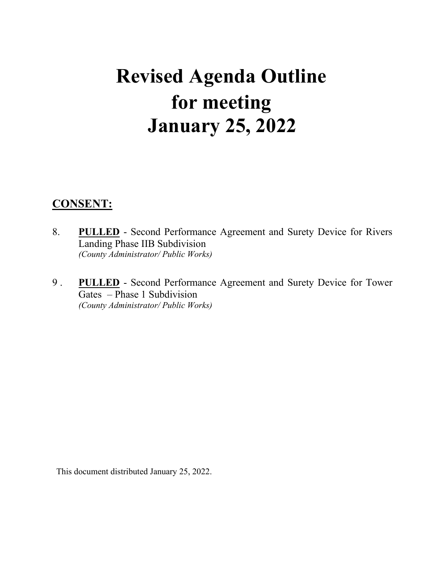# **Revised Agenda Outline for meeting January 25, 2022**

# **CONSENT:**

- 8. **PULLED** Second Performance Agreement and Surety Device for Rivers Landing Phase IIB Subdivision *(County Administrator/ Public Works)*
- 9 . **PULLED** Second Performance Agreement and Surety Device for Tower Gates – Phase 1 Subdivision *(County Administrator/ Public Works)*

This document distributed January 25, 2022.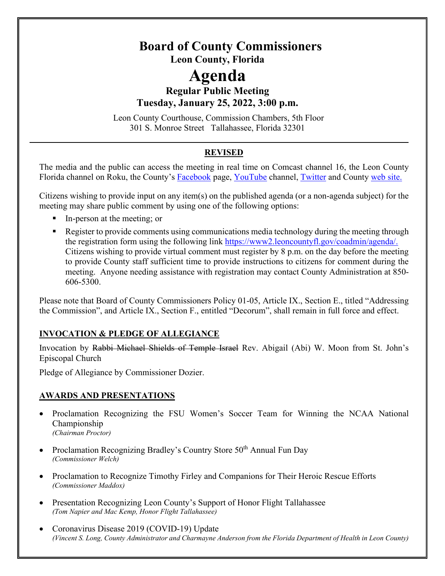# **Board of County Commissioners Leon County, Florida**

# **Agenda**

# **Regular Public Meeting Tuesday, January 25, 2022, 3:00 p.m.**

 Leon County Courthouse, Commission Chambers, 5th Floor 301 S. Monroe Street Tallahassee, Florida 32301

# **REVISED**

The media and the public can access the meeting in real time on Comcast channel 16, the Leon County Florida channel on Roku, the County's [Facebook](https://www.facebook.com/LeonCountyFL/) page, [YouTube](https://www.youtube.com/user/LeonCountyFL) channel, [Twitter](https://twitter.com/leoncounty) and County [web site.](https://www2.leoncountyfl.gov/coadmin/agenda/) 

Citizens wishing to provide input on any item(s) on the published agenda (or a non-agenda subject) for the meeting may share public comment by using one of the following options:

- In-person at the meeting; or
- **•** Register to provide comments using communications media technology during the meeting through the registration form using the following link [https://www2.leoncountyfl.gov/coadmin/agenda/.](https://www2.leoncountyfl.gov/coadmin/agenda/) Citizens wishing to provide virtual comment must register by 8 p.m. on the day before the meeting to provide County staff sufficient time to provide instructions to citizens for comment during the meeting. Anyone needing assistance with registration may contact County Administration at 850- 606-5300.

Please note that Board of County Commissioners Policy 01-05, Article IX., Section E., titled "Addressing the Commission", and Article IX., Section F., entitled "Decorum", shall remain in full force and effect.

# **INVOCATION & PLEDGE OF ALLEGIANCE**

Invocation by Rabbi Michael Shields of Temple Israel Rev. Abigail (Abi) W. Moon from St. John's Episcopal Church

Pledge of Allegiance by Commissioner Dozier.

# **AWARDS AND PRESENTATIONS**

- Proclamation Recognizing the FSU Women's Soccer Team for Winning the NCAA National Championship *(Chairman Proctor)*
- Proclamation Recognizing Bradley's Country Store  $50<sup>th</sup>$  Annual Fun Day *(Commissioner Welch)*
- Proclamation to Recognize Timothy Firley and Companions for Their Heroic Rescue Efforts *(Commissioner Maddox)*
- Presentation Recognizing Leon County's Support of Honor Flight Tallahassee *(Tom Napier and Mac Kemp, Honor Flight Tallahassee)*
- Coronavirus Disease 2019 (COVID-19) Update *(Vincent S. Long, County Administrator and Charmayne Anderson from the Florida Department of Health in Leon County)*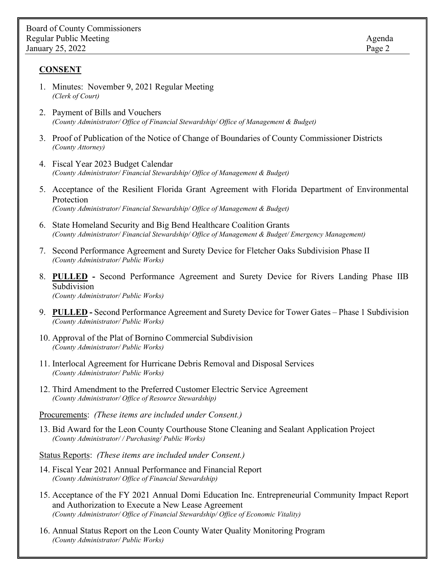### **CONSENT**

- 1. Minutes: November 9, 2021 Regular Meeting *(Clerk of Court)*
- 2. Payment of Bills and Vouchers *(County Administrator/ Office of Financial Stewardship/ Office of Management & Budget)*
- 3. Proof of Publication of the Notice of Change of Boundaries of County Commissioner Districts *(County Attorney)*
- 4. Fiscal Year 2023 Budget Calendar *(County Administrator/ Financial Stewardship/ Office of Management & Budget)*
- 5. Acceptance of the Resilient Florida Grant Agreement with Florida Department of Environmental Protection *(County Administrator/ Financial Stewardship/ Office of Management & Budget)*
- 6. State Homeland Security and Big Bend Healthcare Coalition Grants *(County Administrator/ Financial Stewardship/ Office of Management & Budget/ Emergency Management)*
- 7. Second Performance Agreement and Surety Device for Fletcher Oaks Subdivision Phase II *(County Administrator/ Public Works)*
- 8. **PULLED** Second Performance Agreement and Surety Device for Rivers Landing Phase IIB Subdivision *(County Administrator/ Public Works)*
- 9. **PULLED** Second Performance Agreement and Surety Device for Tower Gates Phase 1 Subdivision *(County Administrator/ Public Works)*
- 10. Approval of the Plat of Bornino Commercial Subdivision *(County Administrator/ Public Works)*
- 11. Interlocal Agreement for Hurricane Debris Removal and Disposal Services *(County Administrator/ Public Works)*
- 12. Third Amendment to the Preferred Customer Electric Service Agreement *(County Administrator/ Office of Resource Stewardship)*

Procurements: *(These items are included under Consent.)*

13. Bid Award for the Leon County Courthouse Stone Cleaning and Sealant Application Project *(County Administrator/ / Purchasing/ Public Works)*

Status Reports: *(These items are included under Consent.)* 

- 14. Fiscal Year 2021 Annual Performance and Financial Report *(County Administrator/ Office of Financial Stewardship)*
- 15. Acceptance of the FY 2021 Annual Domi Education Inc. Entrepreneurial Community Impact Report and Authorization to Execute a New Lease Agreement *(County Administrator/ Office of Financial Stewardship/ Office of Economic Vitality)*
- 16. Annual Status Report on the Leon County Water Quality Monitoring Program *(County Administrator/ Public Works)*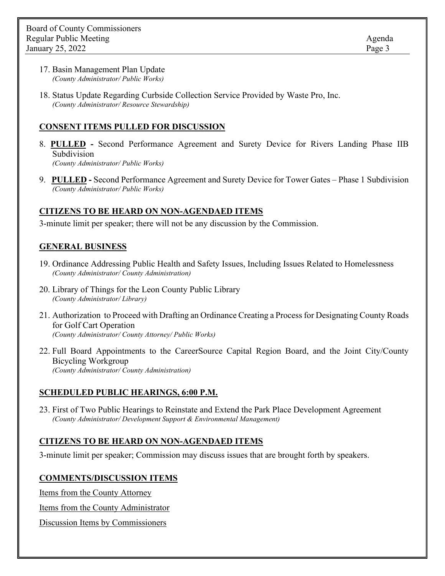- 17. Basin Management Plan Update *(County Administrator/ Public Works)*
- 18. Status Update Regarding Curbside Collection Service Provided by Waste Pro, Inc. *(County Administrator/ Resource Stewardship)*

### **CONSENT ITEMS PULLED FOR DISCUSSION**

- 8. **PULLED** Second Performance Agreement and Surety Device for Rivers Landing Phase IIB Subdivision *(County Administrator/ Public Works)*
- 9. **PULLED** Second Performance Agreement and Surety Device for Tower Gates Phase 1 Subdivision *(County Administrator/ Public Works)*

### **CITIZENS TO BE HEARD ON NON-AGENDAED ITEMS**

3-minute limit per speaker; there will not be any discussion by the Commission.

### **GENERAL BUSINESS**

- 19. Ordinance Addressing Public Health and Safety Issues, Including Issues Related to Homelessness *(County Administrator/ County Administration)*
- 20. Library of Things for the Leon County Public Library *(County Administrator/ Library)*
- 21. Authorization to Proceed with Drafting an Ordinance Creating a Process for Designating County Roads for Golf Cart Operation *(County Administrator/ County Attorney/ Public Works)*
- 22. Full Board Appointments to the CareerSource Capital Region Board, and the Joint City/County Bicycling Workgroup *(County Administrator/ County Administration)*

### **SCHEDULED PUBLIC HEARINGS, 6:00 P.M.**

23. First of Two Public Hearings to Reinstate and Extend the Park Place Development Agreement *(County Administrator/ Development Support & Environmental Management)*

### **CITIZENS TO BE HEARD ON NON-AGENDAED ITEMS**

3-minute limit per speaker; Commission may discuss issues that are brought forth by speakers.

### **COMMENTS/DISCUSSION ITEMS**

Items from the County Attorney

Items from the County Administrator

Discussion Items by Commissioners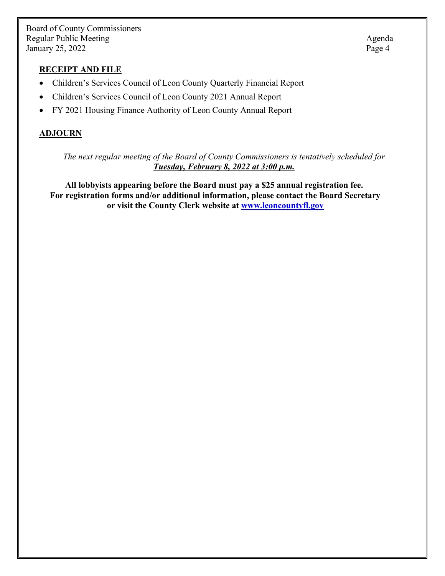### **RECEIPT AND FILE**

- Children's Services Council of Leon County Quarterly Financial Report
- Children's Services Council of Leon County 2021 Annual Report
- FY 2021 Housing Finance Authority of Leon County Annual Report

### **ADJOURN**

*The next regular meeting of the Board of County Commissioners is tentatively scheduled for Tuesday, February 8, 2022 at 3:00 p.m.* 

**All lobbyists appearing before the Board must pay a \$25 annual registration fee. For registration forms and/or additional information, please contact the Board Secretary or visit the County Clerk website at [www.leoncountyfl.gov](http://www2.leoncountyfl.gov/coadmin/agenda/)**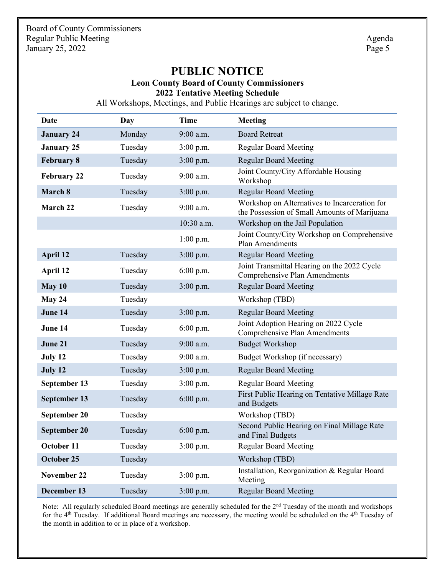# **PUBLIC NOTICE**

# **Leon County Board of County Commissioners**

**2022 Tentative Meeting Schedule**

All Workshops, Meetings, and Public Hearings are subject to change.

| Date                | Day     | <b>Time</b> | <b>Meeting</b>                                                                                |
|---------------------|---------|-------------|-----------------------------------------------------------------------------------------------|
| <b>January 24</b>   | Monday  | 9:00 a.m.   | <b>Board Retreat</b>                                                                          |
| <b>January 25</b>   | Tuesday | $3:00$ p.m. | <b>Regular Board Meeting</b>                                                                  |
| <b>February 8</b>   | Tuesday | $3:00$ p.m. | <b>Regular Board Meeting</b>                                                                  |
| <b>February 22</b>  | Tuesday | $9:00$ a.m. | Joint County/City Affordable Housing<br>Workshop                                              |
| March 8             | Tuesday | $3:00$ p.m. | <b>Regular Board Meeting</b>                                                                  |
| March 22            | Tuesday | $9:00$ a.m. | Workshop on Alternatives to Incarceration for<br>the Possession of Small Amounts of Marijuana |
|                     |         | 10:30 a.m.  | Workshop on the Jail Population                                                               |
|                     |         | $1:00$ p.m. | Joint County/City Workshop on Comprehensive<br>Plan Amendments                                |
| April 12            | Tuesday | $3:00$ p.m. | <b>Regular Board Meeting</b>                                                                  |
| April 12            | Tuesday | 6:00 p.m.   | Joint Transmittal Hearing on the 2022 Cycle<br><b>Comprehensive Plan Amendments</b>           |
| May 10              | Tuesday | $3:00$ p.m. | <b>Regular Board Meeting</b>                                                                  |
| May 24              | Tuesday |             | Workshop (TBD)                                                                                |
| June 14             | Tuesday | $3:00$ p.m. | <b>Regular Board Meeting</b>                                                                  |
| June 14             | Tuesday | $6:00$ p.m. | Joint Adoption Hearing on 2022 Cycle<br><b>Comprehensive Plan Amendments</b>                  |
| June 21             | Tuesday | 9:00 a.m.   | <b>Budget Workshop</b>                                                                        |
| July 12             | Tuesday | 9:00 a.m.   | Budget Workshop (if necessary)                                                                |
| July 12             | Tuesday | $3:00$ p.m. | <b>Regular Board Meeting</b>                                                                  |
| September 13        | Tuesday | $3:00$ p.m. | <b>Regular Board Meeting</b>                                                                  |
| September 13        | Tuesday | $6:00$ p.m. | First Public Hearing on Tentative Millage Rate<br>and Budgets                                 |
| September 20        | Tuesday |             | Workshop (TBD)                                                                                |
| <b>September 20</b> | Tuesday | $6:00$ p.m. | Second Public Hearing on Final Millage Rate<br>and Final Budgets                              |
| October 11          | Tuesday | $3:00$ p.m. | <b>Regular Board Meeting</b>                                                                  |
| October 25          | Tuesday |             | Workshop (TBD)                                                                                |
| <b>November 22</b>  | Tuesday | $3:00$ p.m. | Installation, Reorganization & Regular Board<br>Meeting                                       |
| December 13         | Tuesday | $3:00$ p.m. | <b>Regular Board Meeting</b>                                                                  |

Note: All regularly scheduled Board meetings are generally scheduled for the 2<sup>nd</sup> Tuesday of the month and workshops for the 4th Tuesday. If additional Board meetings are necessary, the meeting would be scheduled on the 4th Tuesday of the month in addition to or in place of a workshop.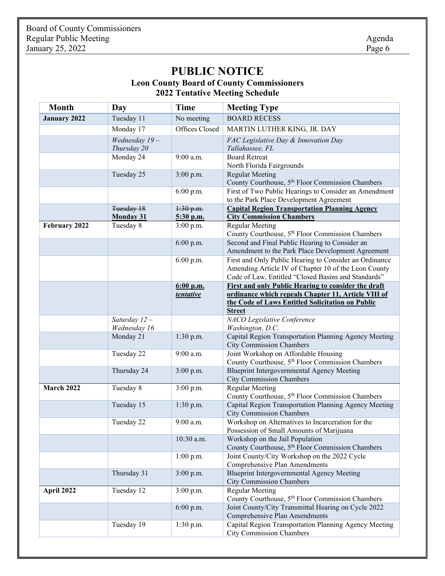# **PUBLIC NOTICE**

### **Leon County Board of County Commissioners 2022 Tentative Meeting Schedule**

| <b>Month</b>        | Day                            | <b>Time</b>            | <b>Meeting Type</b>                                                                                                                                                   |
|---------------------|--------------------------------|------------------------|-----------------------------------------------------------------------------------------------------------------------------------------------------------------------|
| <b>January 2022</b> | Tuesday 11                     | No meeting             | <b>BOARD RECESS</b>                                                                                                                                                   |
|                     | Monday 17                      | Offices Closed         | MARTIN LUTHER KING, JR. DAY                                                                                                                                           |
|                     | Wednesday $19-$<br>Thursday 20 |                        | FAC Legislative Day & Innovation Day<br>Tallahassee, FL                                                                                                               |
|                     | Monday 24                      | 9:00 a.m.              | <b>Board Retreat</b><br>North Florida Fairgrounds                                                                                                                     |
|                     | Tuesday 25                     | $3:00$ p.m.            | <b>Regular Meeting</b><br>County Courthouse, 5 <sup>th</sup> Floor Commission Chambers                                                                                |
|                     |                                | 6:00 p.m.              | First of Two Public Hearings to Consider an Amendment<br>to the Park Place Development Agreement                                                                      |
|                     | Tuesday 18<br><b>Monday 31</b> | 1:30 p.m.<br>5:30 p.m. | <b>Capital Region Transportation Planning Agency</b><br><b>City Commission Chambers</b>                                                                               |
| February 2022       | Tuesday 8                      | 3:00 p.m.              | <b>Regular Meeting</b>                                                                                                                                                |
|                     |                                |                        | County Courthouse, 5 <sup>th</sup> Floor Commission Chambers                                                                                                          |
|                     |                                | 6:00 p.m.              | Second and Final Public Hearing to Consider an                                                                                                                        |
|                     |                                |                        | Amendment to the Park Place Development Agreement                                                                                                                     |
|                     |                                | 6:00 p.m.              | First and Only Public Hearing to Consider an Ordinance<br>Amending Article IV of Chapter 10 of the Leon County<br>Code of Law, Entitled "Closed Basins and Standards" |
|                     |                                | $6:00$ p.m.            | First and only Public Hearing to consider the draft                                                                                                                   |
|                     |                                | tentative              | ordinance which repeals Chapter 11, Article VIII of<br>the Code of Laws Entitled Solicitation on Public<br><b>Street</b>                                              |
|                     | Saturday $12-$                 |                        | NACO Legislative Conference                                                                                                                                           |
|                     | Wednesday 16                   |                        | Washington, D.C.                                                                                                                                                      |
|                     | Monday 21                      | 1:30 p.m.              | Capital Region Transportation Planning Agency Meeting<br><b>City Commission Chambers</b>                                                                              |
|                     | Tuesday 22                     | 9:00 a.m.              | Joint Workshop on Affordable Housing                                                                                                                                  |
|                     |                                |                        | County Courthouse, 5 <sup>th</sup> Floor Commission Chambers                                                                                                          |
|                     | Thursday 24                    | $3:00$ p.m.            | <b>Blueprint Intergovernmental Agency Meeting</b><br><b>City Commission Chambers</b>                                                                                  |
| March 2022          | Tuesday 8                      | 3:00 p.m.              | <b>Regular Meeting</b>                                                                                                                                                |
|                     |                                |                        | County Courthouse, 5 <sup>th</sup> Floor Commission Chambers                                                                                                          |
|                     | Tuesday 15                     | $1:30$ p.m.            | Capital Region Transportation Planning Agency Meeting<br><b>City Commission Chambers</b>                                                                              |
|                     | Tuesday 22                     | $9:00$ a.m.            | Workshop on Alternatives to Incarceration for the<br>Possession of Small Amounts of Marijuana                                                                         |
|                     |                                | 10:30 a.m.             | Workshop on the Jail Population<br>County Courthouse, 5 <sup>th</sup> Floor Commission Chambers                                                                       |
|                     |                                | $1:00$ p.m.            | Joint County/City Workshop on the 2022 Cycle<br>Comprehensive Plan Amendments                                                                                         |
|                     | Thursday 31                    | $3:00$ p.m.            | Blueprint Intergovernmental Agency Meeting<br><b>City Commission Chambers</b>                                                                                         |
| April 2022          | Tuesday 12                     | $3:00$ p.m.            | <b>Regular Meeting</b><br>County Courthouse, 5 <sup>th</sup> Floor Commission Chambers                                                                                |
|                     |                                | $6:00$ p.m.            | Joint County/City Transmittal Hearing on Cycle 2022<br>Comprehensive Plan Amendments                                                                                  |
|                     | Tuesday 19                     | $1:30$ p.m.            | Capital Region Transportation Planning Agency Meeting<br><b>City Commission Chambers</b>                                                                              |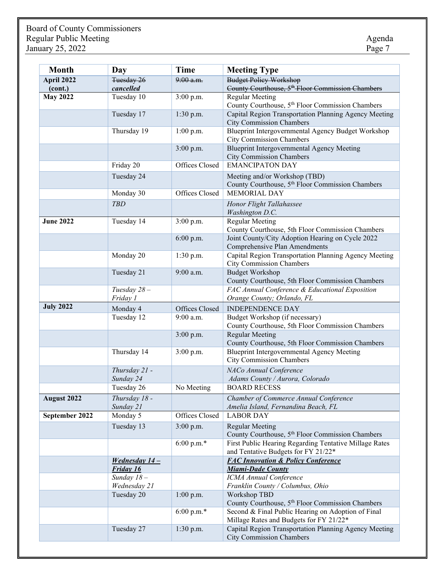| <b>Month</b>     | Day                              | <b>Time</b>    | <b>Meeting Type</b>                                                                                                   |
|------------------|----------------------------------|----------------|-----------------------------------------------------------------------------------------------------------------------|
| April 2022       | Tuesday 26                       | $9:00$ a.m.    | <b>Budget Policy Workshop</b>                                                                                         |
| (cont.)          | cancelled                        |                | County Courthouse, 5 <sup>th</sup> Floor Commission Chambers                                                          |
| <b>May 2022</b>  | Tuesday 10                       | 3:00 p.m.      | <b>Regular Meeting</b>                                                                                                |
|                  | Tuesday 17                       | $1:30$ p.m.    | County Courthouse, 5 <sup>th</sup> Floor Commission Chambers<br>Capital Region Transportation Planning Agency Meeting |
|                  |                                  |                | <b>City Commission Chambers</b>                                                                                       |
|                  | Thursday 19                      | $1:00$ p.m.    | Blueprint Intergovernmental Agency Budget Workshop<br><b>City Commission Chambers</b>                                 |
|                  |                                  | 3:00 p.m.      | <b>Blueprint Intergovernmental Agency Meeting</b><br><b>City Commission Chambers</b>                                  |
|                  | Friday 20                        | Offices Closed | <b>EMANCIPATON DAY</b>                                                                                                |
|                  | Tuesday 24                       |                | Meeting and/or Workshop (TBD)                                                                                         |
|                  |                                  |                | County Courthouse, 5 <sup>th</sup> Floor Commission Chambers                                                          |
|                  | Monday 30                        | Offices Closed | MEMORIAL DAY                                                                                                          |
|                  | <b>TBD</b>                       |                | Honor Flight Tallahassee<br>Washington D.C.                                                                           |
| <b>June 2022</b> | Tuesday 14                       | $3:00$ p.m.    | <b>Regular Meeting</b>                                                                                                |
|                  |                                  |                | County Courthouse, 5th Floor Commission Chambers                                                                      |
|                  |                                  | $6:00$ p.m.    | Joint County/City Adoption Hearing on Cycle 2022<br><b>Comprehensive Plan Amendments</b>                              |
|                  | Monday 20                        | $1:30$ p.m.    | Capital Region Transportation Planning Agency Meeting                                                                 |
|                  |                                  |                | <b>City Commission Chambers</b>                                                                                       |
|                  | Tuesday 21                       | 9:00 a.m.      | <b>Budget Workshop</b>                                                                                                |
|                  |                                  |                | County Courthouse, 5th Floor Commission Chambers                                                                      |
|                  | Tuesday $28-$                    |                | FAC Annual Conference & Educational Exposition                                                                        |
| <b>July 2022</b> | Friday 1                         |                | Orange County; Orlando, FL                                                                                            |
|                  | Monday 4                         | Offices Closed | <b>INDEPENDENCE DAY</b>                                                                                               |
|                  | Tuesday 12                       | $9:00$ a.m.    | Budget Workshop (if necessary)<br>County Courthouse, 5th Floor Commission Chambers                                    |
|                  |                                  | $3:00$ p.m.    | <b>Regular Meeting</b>                                                                                                |
|                  |                                  |                | County Courthouse, 5th Floor Commission Chambers                                                                      |
|                  | Thursday 14                      | $3:00$ p.m.    | Blueprint Intergovernmental Agency Meeting<br><b>City Commission Chambers</b>                                         |
|                  | Thursday 21 -                    |                | NACo Annual Conference                                                                                                |
|                  | Sunday 24                        |                | Adams County / Aurora, Colorado                                                                                       |
|                  | Tuesday 26                       | No Meeting     | <b>BOARD RECESS</b>                                                                                                   |
| August 2022      | Thursday 18 -                    |                | Chamber of Commerce Annual Conference                                                                                 |
| September 2022   | Sunday 21<br>Monday 5            | Offices Closed | Amelia Island, Fernandina Beach, FL<br><b>LABOR DAY</b>                                                               |
|                  | Tuesday 13                       | $3:00$ p.m.    | <b>Regular Meeting</b>                                                                                                |
|                  |                                  |                | County Courthouse, 5 <sup>th</sup> Floor Commission Chambers                                                          |
|                  |                                  | $6:00$ p.m.*   | First Public Hearing Regarding Tentative Millage Rates                                                                |
|                  |                                  |                | and Tentative Budgets for FY 21/22*                                                                                   |
|                  | Wednesday $14-$                  |                | <b>FAC Innovation &amp; Policy Conference</b>                                                                         |
|                  | <b>Friday 16</b><br>Sunday $18-$ |                | <b>Miami-Dade County</b>                                                                                              |
|                  | Wednesday 21                     |                | ICMA Annual Conference<br>Franklin County / Columbus, Ohio                                                            |
|                  | Tuesday 20                       | $1:00$ p.m.    | Workshop TBD                                                                                                          |
|                  |                                  |                | County Courthouse, 5 <sup>th</sup> Floor Commission Chambers                                                          |
|                  |                                  | 6:00 p.m. $*$  | Second & Final Public Hearing on Adoption of Final<br>Millage Rates and Budgets for FY 21/22*                         |
|                  | Tuesday 27                       | $1:30$ p.m.    | Capital Region Transportation Planning Agency Meeting<br><b>City Commission Chambers</b>                              |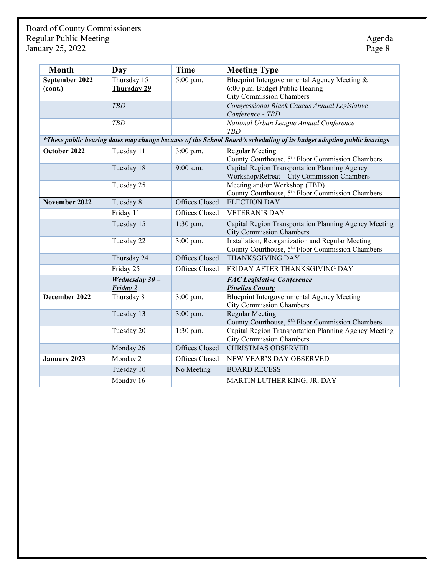| <b>Month</b>              | Day                          | <b>Time</b>    | <b>Meeting Type</b>                                                                                                    |
|---------------------------|------------------------------|----------------|------------------------------------------------------------------------------------------------------------------------|
| September 2022<br>(cont.) | Thursday 15<br>Thursday 29   | 5:00 p.m.      | Blueprint Intergovernmental Agency Meeting &<br>6:00 p.m. Budget Public Hearing<br><b>City Commission Chambers</b>     |
|                           | <b>TBD</b>                   |                | Congressional Black Caucus Annual Legislative<br>Conference - TBD                                                      |
|                           | <b>TBD</b>                   |                | National Urban League Annual Conference<br><b>TBD</b>                                                                  |
|                           |                              |                | *These public hearing dates may change because of the School Board's scheduling of its budget adoption public hearings |
| October 2022              | Tuesday 11                   | 3:00 p.m.      | <b>Regular Meeting</b><br>County Courthouse, 5 <sup>th</sup> Floor Commission Chambers                                 |
|                           | Tuesday 18                   | 9:00 a.m.      | Capital Region Transportation Planning Agency<br>Workshop/Retreat - City Commission Chambers                           |
|                           | Tuesday 25                   |                | Meeting and/or Workshop (TBD)<br>County Courthouse, 5 <sup>th</sup> Floor Commission Chambers                          |
| November 2022             | Tuesday 8                    | Offices Closed | <b>ELECTION DAY</b>                                                                                                    |
|                           | Friday 11                    | Offices Closed | <b>VETERAN'S DAY</b>                                                                                                   |
|                           | Tuesday 15                   | 1:30 p.m.      | Capital Region Transportation Planning Agency Meeting<br><b>City Commission Chambers</b>                               |
|                           | Tuesday 22                   | 3:00 p.m.      | Installation, Reorganization and Regular Meeting<br>County Courthouse, 5 <sup>th</sup> Floor Commission Chambers       |
|                           | Thursday 24                  | Offices Closed | <b>THANKSGIVING DAY</b>                                                                                                |
|                           | Friday 25                    | Offices Closed | FRIDAY AFTER THANKSGIVING DAY                                                                                          |
|                           | Wednesday $30 -$<br>Friday 2 |                | <b>FAC Legislative Conference</b><br><b>Pinellas County</b>                                                            |
| December 2022             | Thursday 8                   | 3:00 p.m.      | <b>Blueprint Intergovernmental Agency Meeting</b><br><b>City Commission Chambers</b>                                   |
|                           | Tuesday 13                   | $3:00$ p.m.    | <b>Regular Meeting</b><br>County Courthouse, 5 <sup>th</sup> Floor Commission Chambers                                 |
|                           | Tuesday 20                   | 1:30 p.m.      | Capital Region Transportation Planning Agency Meeting<br><b>City Commission Chambers</b>                               |
|                           | Monday 26                    | Offices Closed | <b>CHRISTMAS OBSERVED</b>                                                                                              |
| <b>January 2023</b>       | Monday 2                     | Offices Closed | NEW YEAR'S DAY OBSERVED                                                                                                |
|                           | Tuesday 10                   | No Meeting     | <b>BOARD RECESS</b>                                                                                                    |
|                           | Monday 16                    |                | MARTIN LUTHER KING, JR. DAY                                                                                            |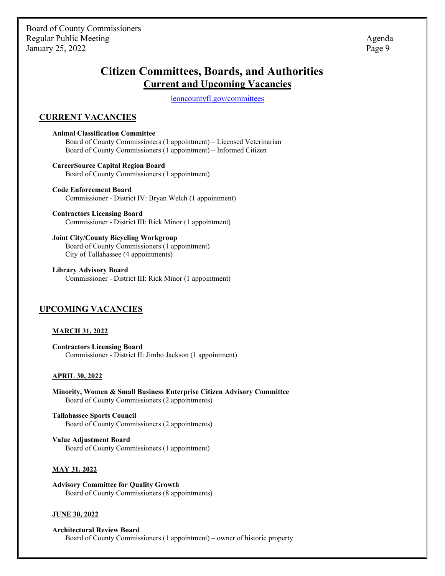# **Citizen Committees, Boards, and Authorities Current and Upcoming Vacancies**

[leoncountyfl.](http://www2.leoncountyfl.gov/committees/)gov/committees

### **CURRENT VACANCIES**

**Animal Classification Committee** Board of County Commissioners (1 appointment) – Licensed Veterinarian Board of County Commissioners (1 appointment) – Informed Citizen

**CareerSource Capital Region Board** Board of County Commissioners (1 appointment)

**Code Enforcement Board** Commissioner - District IV: Bryan Welch (1 appointment)

**Contractors Licensing Board** Commissioner - District III: Rick Minor (1 appointment)

**Joint City/County Bicycling Workgroup** Board of County Commissioners (1 appointment) City of Tallahassee (4 appointments)

**Library Advisory Board** Commissioner - District III: Rick Minor (1 appointment)

#### **UPCOMING VACANCIES**

#### **MARCH 31, 2022**

**Contractors Licensing Board** Commissioner - District II: Jimbo Jackson (1 appointment)

#### **APRIL 30, 2022**

**Minority, Women & Small Business Enterprise Citizen Advisory Committee** Board of County Commissioners (2 appointments)

**Tallahassee Sports Council** Board of County Commissioners (2 appointments)

**Value Adjustment Board** Board of County Commissioners (1 appointment)

#### **MAY 31, 2022**

**Advisory Committee for Quality Growth** Board of County Commissioners (8 appointments)

#### **JUNE 30, 2022**

**Architectural Review Board** Board of County Commissioners (1 appointment) – owner of historic property